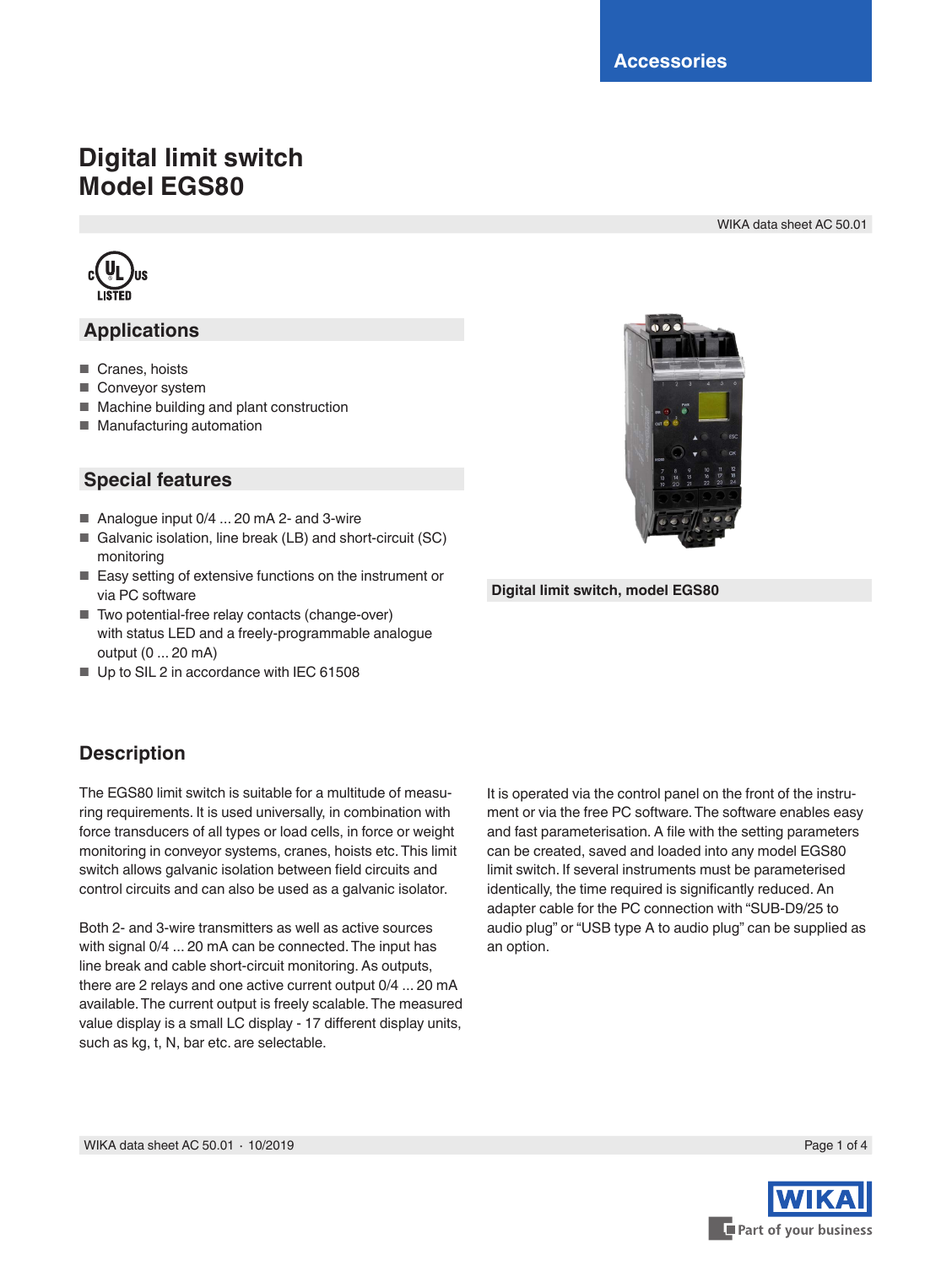# **Digital limit switch Model EGS80**

WIKA data sheet AC 50.01



### **Applications**

- Cranes, hoists
- Conveyor system
- Machine building and plant construction
- Manufacturing automation

#### **Special features**

- Analogue input 0/4 ... 20 mA 2- and 3-wire
- Galvanic isolation, line break (LB) and short-circuit (SC) monitoring
- Easy setting of extensive functions on the instrument or via PC software
- Two potential-free relay contacts (change-over) with status LED and a freely-programmable analogue output (0 ... 20 mA)
- Up to SIL 2 in accordance with IEC 61508

## **Description**

The EGS80 limit switch is suitable for a multitude of measuring requirements. It is used universally, in combination with force transducers of all types or load cells, in force or weight monitoring in conveyor systems, cranes, hoists etc. This limit switch allows galvanic isolation between field circuits and control circuits and can also be used as a galvanic isolator.

Both 2- and 3-wire transmitters as well as active sources with signal 0/4 ... 20 mA can be connected. The input has line break and cable short-circuit monitoring. As outputs, there are 2 relays and one active current output 0/4 ... 20 mA available. The current output is freely scalable. The measured value display is a small LC display - 17 different display units, such as kg, t, N, bar etc. are selectable.

It is operated via the control panel on the front of the instrument or via the free PC software. The software enables easy and fast parameterisation. A file with the setting parameters can be created, saved and loaded into any model EGS80 limit switch. If several instruments must be parameterised identically, the time required is significantly reduced. An adapter cable for the PC connection with "SUB-D9/25 to audio plug" or "USB type A to audio plug" can be supplied as an option.



**Digital limit switch, model EGS80**

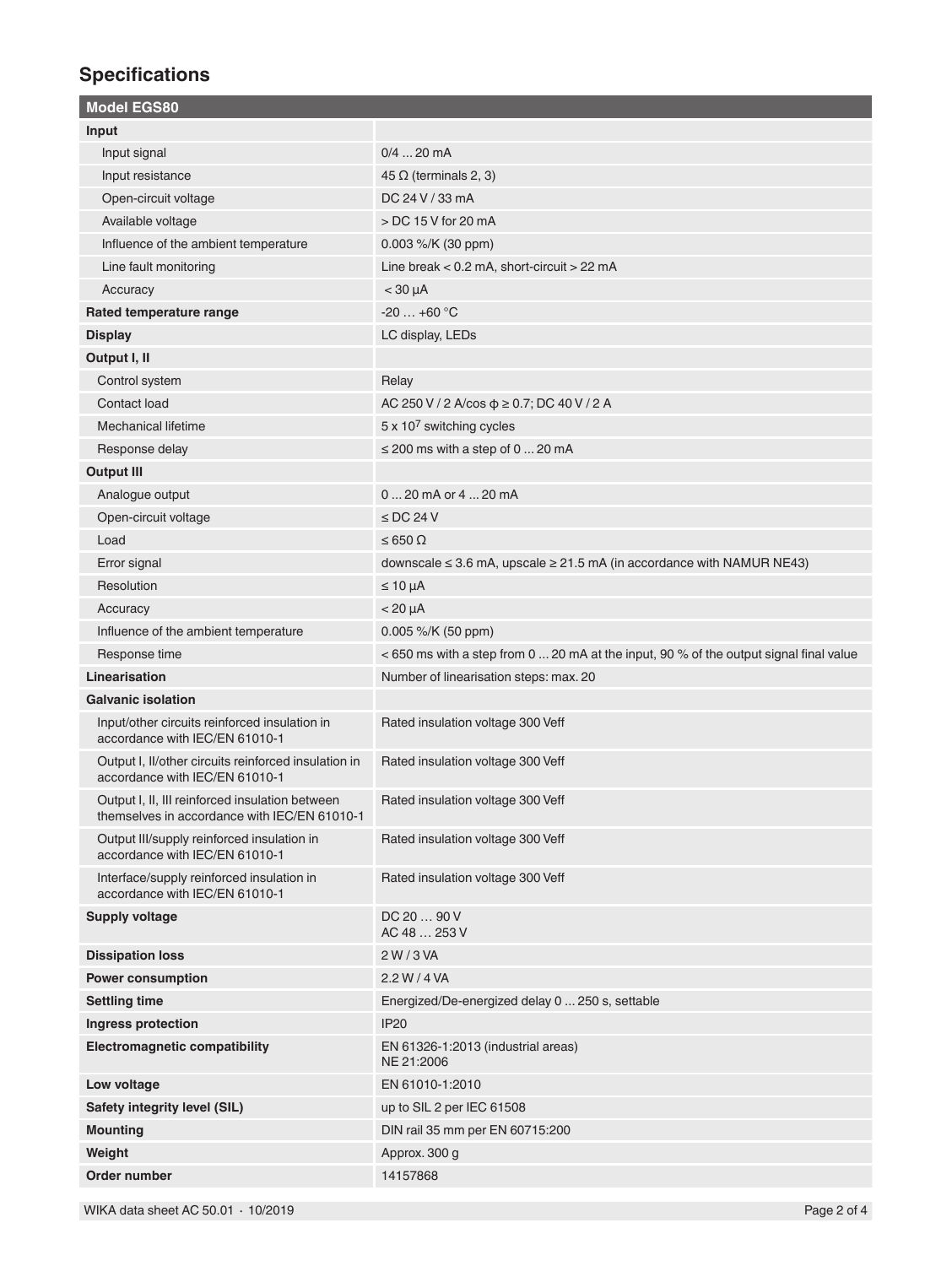## **Specifications**

| <b>Model EGS80</b>                                                                              |                                                                                        |
|-------------------------------------------------------------------------------------------------|----------------------------------------------------------------------------------------|
| Input                                                                                           |                                                                                        |
| Input signal                                                                                    | $0/4$ 20 mA                                                                            |
| Input resistance                                                                                | $45 \Omega$ (terminals 2, 3)                                                           |
| Open-circuit voltage                                                                            | DC 24 V / 33 mA                                                                        |
| Available voltage                                                                               | > DC 15 V for 20 mA                                                                    |
| Influence of the ambient temperature                                                            | 0.003 %/K (30 ppm)                                                                     |
| Line fault monitoring                                                                           | Line break < 0.2 mA, short-circuit > 22 mA                                             |
| Accuracy                                                                                        | $<$ 30 $\mu$ A                                                                         |
| Rated temperature range                                                                         | $-20+60$ °C                                                                            |
| <b>Display</b>                                                                                  | LC display, LEDs                                                                       |
| Output I, II                                                                                    |                                                                                        |
| Control system                                                                                  | Relay                                                                                  |
| Contact load                                                                                    | AC 250 V / 2 A/cos $\phi \ge 0.7$ ; DC 40 V / 2 A                                      |
| <b>Mechanical lifetime</b>                                                                      | 5 x 10 <sup>7</sup> switching cycles                                                   |
| Response delay                                                                                  | $\leq$ 200 ms with a step of 0  20 mA                                                  |
| <b>Output III</b>                                                                               |                                                                                        |
| Analogue output                                                                                 | 0  20 mA or 4  20 mA                                                                   |
| Open-circuit voltage                                                                            | $\le$ DC 24 V                                                                          |
| Load                                                                                            | $\leq 650 \Omega$                                                                      |
| Error signal                                                                                    | downscale $\leq$ 3.6 mA, upscale $\geq$ 21.5 mA (in accordance with NAMUR NE43)        |
| Resolution                                                                                      | $\leq 10 \mu A$                                                                        |
| Accuracy                                                                                        | $< 20 \mu A$                                                                           |
| Influence of the ambient temperature                                                            | 0.005 %/K (50 ppm)                                                                     |
| Response time                                                                                   | < 650 ms with a step from 0  20 mA at the input, 90 % of the output signal final value |
| Linearisation                                                                                   | Number of linearisation steps: max. 20                                                 |
| <b>Galvanic isolation</b>                                                                       |                                                                                        |
| Input/other circuits reinforced insulation in<br>accordance with IEC/EN 61010-1                 | Rated insulation voltage 300 Veff                                                      |
| Output I, II/other circuits reinforced insulation in<br>accordance with IEC/EN 61010-1          | Rated insulation voltage 300 Veff                                                      |
| Output I, II, III reinforced insulation between<br>themselves in accordance with IEC/EN 61010-1 | Rated insulation voltage 300 Veff                                                      |
| Output III/supply reinforced insulation in                                                      |                                                                                        |
| accordance with IEC/EN 61010-1                                                                  | Rated insulation voltage 300 Veff                                                      |
| Interface/supply reinforced insulation in<br>accordance with IEC/EN 61010-1                     | Rated insulation voltage 300 Veff                                                      |
| <b>Supply voltage</b>                                                                           | DC 20  90 V<br>AC 48  253 V                                                            |
| <b>Dissipation loss</b>                                                                         | 2 W / 3 VA                                                                             |
| <b>Power consumption</b>                                                                        | 2.2 W / 4 VA                                                                           |
| <b>Settling time</b>                                                                            | Energized/De-energized delay 0  250 s, settable                                        |
| Ingress protection                                                                              | <b>IP20</b>                                                                            |
| <b>Electromagnetic compatibility</b>                                                            | EN 61326-1:2013 (industrial areas)<br>NE 21:2006                                       |
| Low voltage                                                                                     | EN 61010-1:2010                                                                        |
| Safety integrity level (SIL)                                                                    | up to SIL 2 per IEC 61508                                                              |
| <b>Mounting</b>                                                                                 | DIN rail 35 mm per EN 60715:200                                                        |
| Weight                                                                                          | Approx. 300 g                                                                          |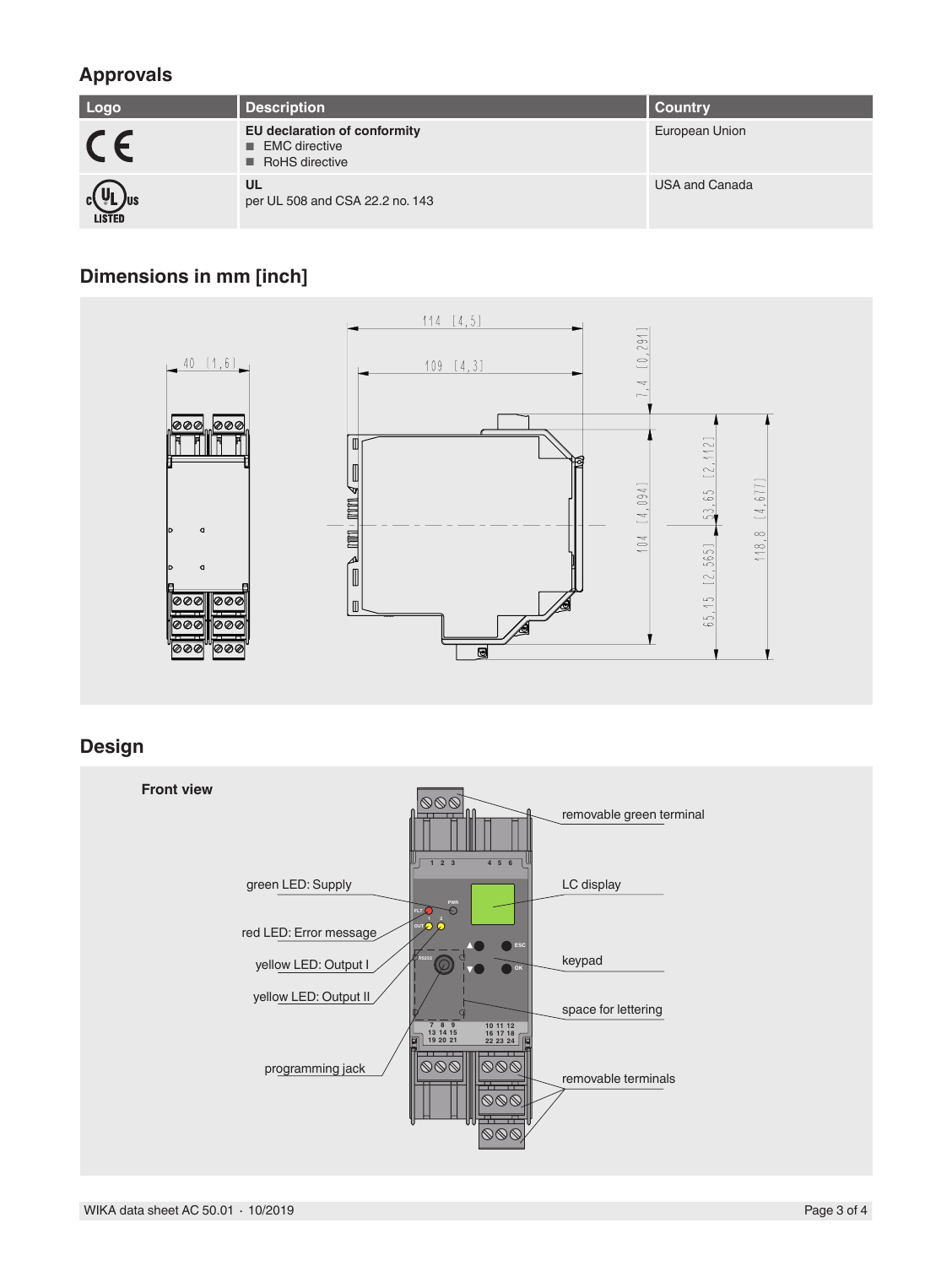## **Approvals**

| Logo                            | <b>Description</b>                                                                    | <b>Country</b>        |
|---------------------------------|---------------------------------------------------------------------------------------|-----------------------|
| CE                              | <b>EU declaration of conformity</b><br>$\blacksquare$ EMC directive<br>RoHS directive | European Union        |
| $c(\Psi L)$ us<br><b>LISTED</b> | UL<br>per UL 508 and CSA 22.2 no. 143                                                 | <b>USA and Canada</b> |

## **Dimensions in mm [inch]**



### **Design**